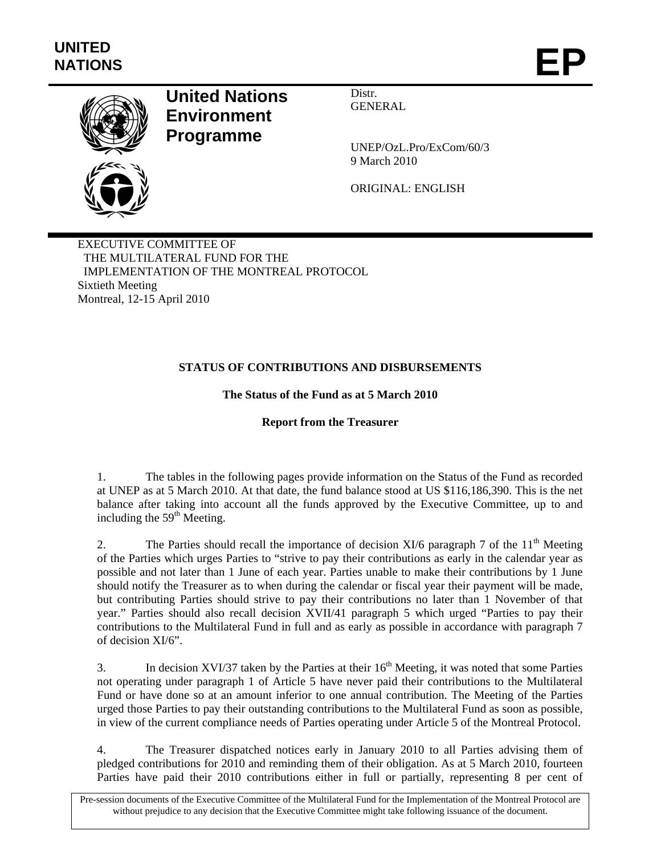

# **United Nations Environment Programme**

Distr. GENERAL

UNEP/OzL.Pro/ExCom/60/3 9 March 2010

ORIGINAL: ENGLISH

EXECUTIVE COMMITTEE OF THE MULTILATERAL FUND FOR THE IMPLEMENTATION OF THE MONTREAL PROTOCOL Sixtieth Meeting Montreal, 12-15 April 2010

# **STATUS OF CONTRIBUTIONS AND DISBURSEMENTS**

# **The Status of the Fund as at 5 March 2010**

## **Report from the Treasurer**

1. The tables in the following pages provide information on the Status of the Fund as recorded at UNEP as at 5 March 2010. At that date, the fund balance stood at US \$116,186,390. This is the net balance after taking into account all the funds approved by the Executive Committee, up to and including the  $59<sup>th</sup>$  Meeting.

2. The Parties should recall the importance of decision XI/6 paragraph 7 of the  $11<sup>th</sup>$  Meeting of the Parties which urges Parties to "strive to pay their contributions as early in the calendar year as possible and not later than 1 June of each year. Parties unable to make their contributions by 1 June should notify the Treasurer as to when during the calendar or fiscal year their payment will be made, but contributing Parties should strive to pay their contributions no later than 1 November of that year." Parties should also recall decision XVII/41 paragraph 5 which urged "Parties to pay their contributions to the Multilateral Fund in full and as early as possible in accordance with paragraph 7 of decision XI/6".

3. In decision XVI/37 taken by the Parties at their  $16<sup>th</sup>$  Meeting, it was noted that some Parties not operating under paragraph 1 of Article 5 have never paid their contributions to the Multilateral Fund or have done so at an amount inferior to one annual contribution. The Meeting of the Parties urged those Parties to pay their outstanding contributions to the Multilateral Fund as soon as possible, in view of the current compliance needs of Parties operating under Article 5 of the Montreal Protocol.

4. The Treasurer dispatched notices early in January 2010 to all Parties advising them of pledged contributions for 2010 and reminding them of their obligation. As at 5 March 2010, fourteen Parties have paid their 2010 contributions either in full or partially, representing 8 per cent of

Pre-session documents of the Executive Committee of the Multilateral Fund for the Implementation of the Montreal Protocol are without prejudice to any decision that the Executive Committee might take following issuance of the document.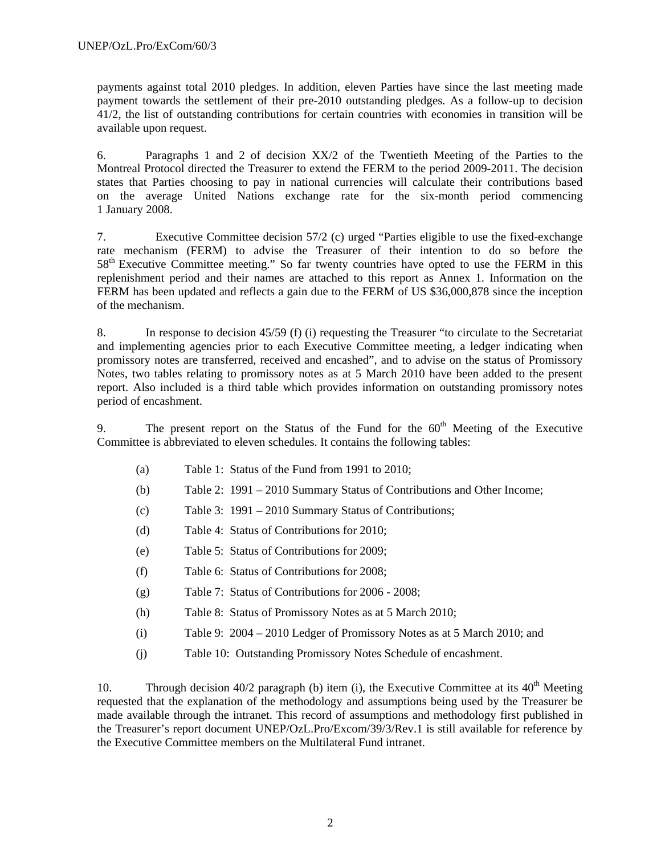payments against total 2010 pledges. In addition, eleven Parties have since the last meeting made payment towards the settlement of their pre-2010 outstanding pledges. As a follow-up to decision 41/2, the list of outstanding contributions for certain countries with economies in transition will be available upon request.

6. Paragraphs 1 and 2 of decision XX/2 of the Twentieth Meeting of the Parties to the Montreal Protocol directed the Treasurer to extend the FERM to the period 2009-2011. The decision states that Parties choosing to pay in national currencies will calculate their contributions based on the average United Nations exchange rate for the six-month period commencing 1 January 2008.

7. Executive Committee decision 57/2 (c) urged "Parties eligible to use the fixed-exchange rate mechanism (FERM) to advise the Treasurer of their intention to do so before the  $58<sup>th</sup>$  Executive Committee meeting." So far twenty countries have opted to use the FERM in this replenishment period and their names are attached to this report as Annex 1. Information on the FERM has been updated and reflects a gain due to the FERM of US \$36,000,878 since the inception of the mechanism.

8. In response to decision 45/59 (f) (i) requesting the Treasurer "to circulate to the Secretariat and implementing agencies prior to each Executive Committee meeting, a ledger indicating when promissory notes are transferred, received and encashed", and to advise on the status of Promissory Notes, two tables relating to promissory notes as at 5 March 2010 have been added to the present report. Also included is a third table which provides information on outstanding promissory notes period of encashment.

9. The present report on the Status of the Fund for the  $60<sup>th</sup>$  Meeting of the Executive Committee is abbreviated to eleven schedules. It contains the following tables:

- (a) Table 1: Status of the Fund from 1991 to 2010;
- (b) Table 2: 1991 2010 Summary Status of Contributions and Other Income;
- (c) Table 3: 1991 2010 Summary Status of Contributions;
- (d) Table 4: Status of Contributions for 2010;
- (e) Table 5: Status of Contributions for 2009;
- (f) Table 6: Status of Contributions for 2008;
- (g) Table 7: Status of Contributions for 2006 2008;
- (h) Table 8: Status of Promissory Notes as at 5 March 2010;
- (i) Table 9: 2004 2010 Ledger of Promissory Notes as at 5 March 2010; and
- (j) Table 10: Outstanding Promissory Notes Schedule of encashment.

10. Through decision 40/2 paragraph (b) item (i), the Executive Committee at its  $40<sup>th</sup>$  Meeting requested that the explanation of the methodology and assumptions being used by the Treasurer be made available through the intranet. This record of assumptions and methodology first published in the Treasurer's report document UNEP/OzL.Pro/Excom/39/3/Rev.1 is still available for reference by the Executive Committee members on the Multilateral Fund intranet.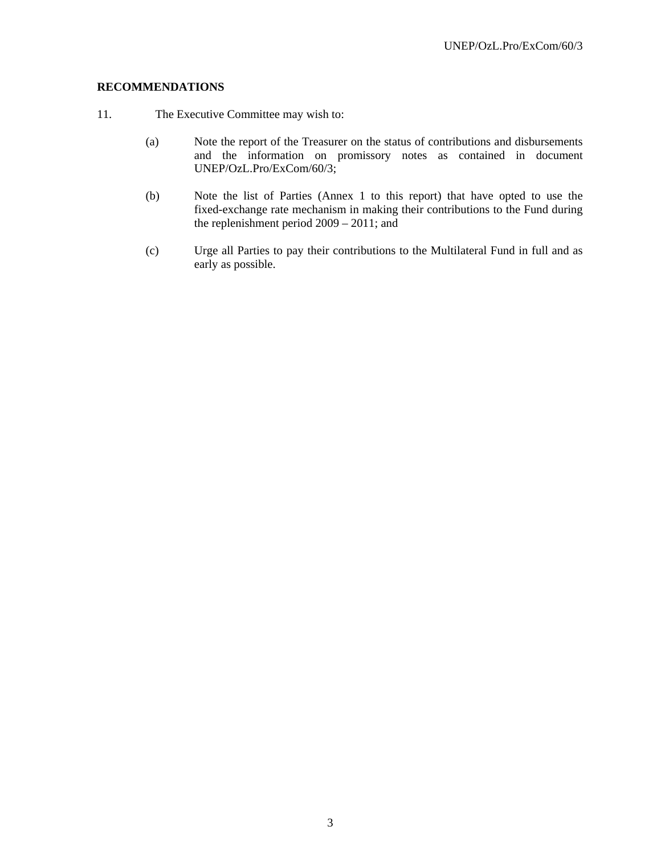## **RECOMMENDATIONS**

- 11. The Executive Committee may wish to:
	- (a) Note the report of the Treasurer on the status of contributions and disbursements and the information on promissory notes as contained in document UNEP/OzL.Pro/ExCom/60/3;
	- (b) Note the list of Parties (Annex 1 to this report) that have opted to use the fixed-exchange rate mechanism in making their contributions to the Fund during the replenishment period 2009 – 2011; and
	- (c) Urge all Parties to pay their contributions to the Multilateral Fund in full and as early as possible.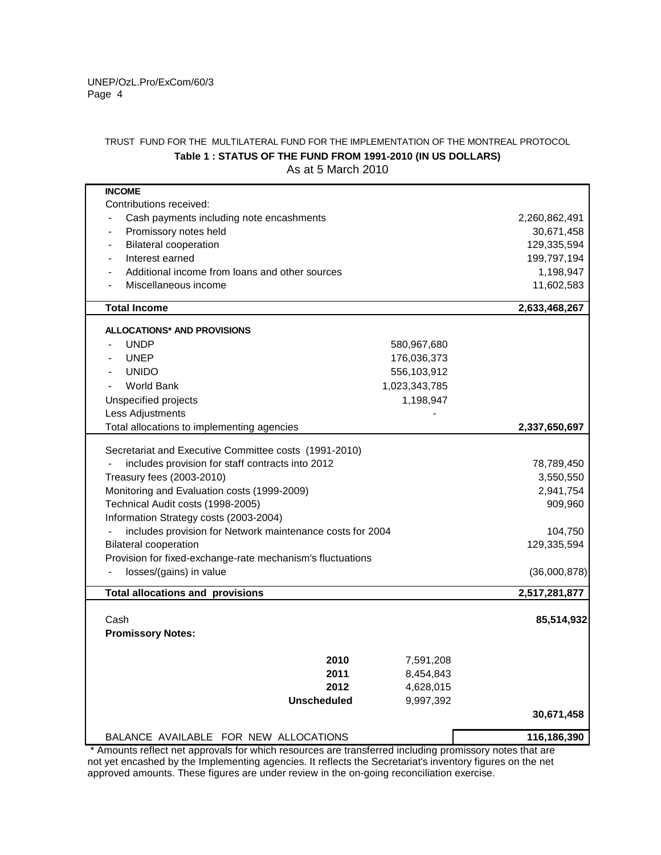### TRUST FUND FOR THE MULTILATERAL FUND FOR THE IMPLEMENTATION OF THE MONTREAL PROTOCOL As at 5 March 2010 **Table 1 : STATUS OF THE FUND FROM 1991-2010 (IN US DOLLARS)**

| <b>INCOME</b>                                                                    |                      |
|----------------------------------------------------------------------------------|----------------------|
| Contributions received:                                                          |                      |
| Cash payments including note encashments                                         | 2,260,862,491        |
| Promissory notes held                                                            | 30,671,458           |
| <b>Bilateral cooperation</b><br>$\overline{\phantom{a}}$                         | 129,335,594          |
| Interest earned                                                                  | 199,797,194          |
| Additional income from loans and other sources                                   | 1,198,947            |
| Miscellaneous income                                                             | 11,602,583           |
| <b>Total Income</b>                                                              |                      |
|                                                                                  | 2,633,468,267        |
| <b>ALLOCATIONS* AND PROVISIONS</b>                                               |                      |
| <b>UNDP</b>                                                                      | 580,967,680          |
| <b>UNEP</b>                                                                      | 176,036,373          |
| <b>UNIDO</b>                                                                     | 556,103,912          |
| <b>World Bank</b><br>1,023,343,785                                               |                      |
| Unspecified projects                                                             | 1,198,947            |
| Less Adjustments                                                                 |                      |
| Total allocations to implementing agencies                                       | 2,337,650,697        |
|                                                                                  |                      |
| Secretariat and Executive Committee costs (1991-2010)                            |                      |
| includes provision for staff contracts into 2012                                 | 78,789,450           |
| Treasury fees (2003-2010)                                                        | 3,550,550            |
| Monitoring and Evaluation costs (1999-2009)<br>Technical Audit costs (1998-2005) | 2,941,754<br>909,960 |
| Information Strategy costs (2003-2004)                                           |                      |
| includes provision for Network maintenance costs for 2004                        | 104,750              |
| <b>Bilateral cooperation</b>                                                     | 129,335,594          |
| Provision for fixed-exchange-rate mechanism's fluctuations                       |                      |
| losses/(gains) in value                                                          | (36,000,878)         |
|                                                                                  |                      |
| <b>Total allocations and provisions</b>                                          | 2,517,281,877        |
|                                                                                  |                      |
| Cash                                                                             | 85,514,932           |
| <b>Promissory Notes:</b>                                                         |                      |
| 2010                                                                             | 7,591,208            |
| 2011                                                                             | 8,454,843            |
| 2012                                                                             | 4,628,015            |
| <b>Unscheduled</b>                                                               | 9,997,392            |
|                                                                                  | 30,671,458           |
|                                                                                  |                      |
| BALANCE AVAILABLE FOR NEW ALLOCATIONS                                            | 116,186,390          |

 \* Amounts reflect net approvals for which resources are transferred including promissory notes that are approved amounts. These figures are under review in the on-going reconciliation exercise. not yet encashed by the Implementing agencies. It reflects the Secretariat's inventory figures on the net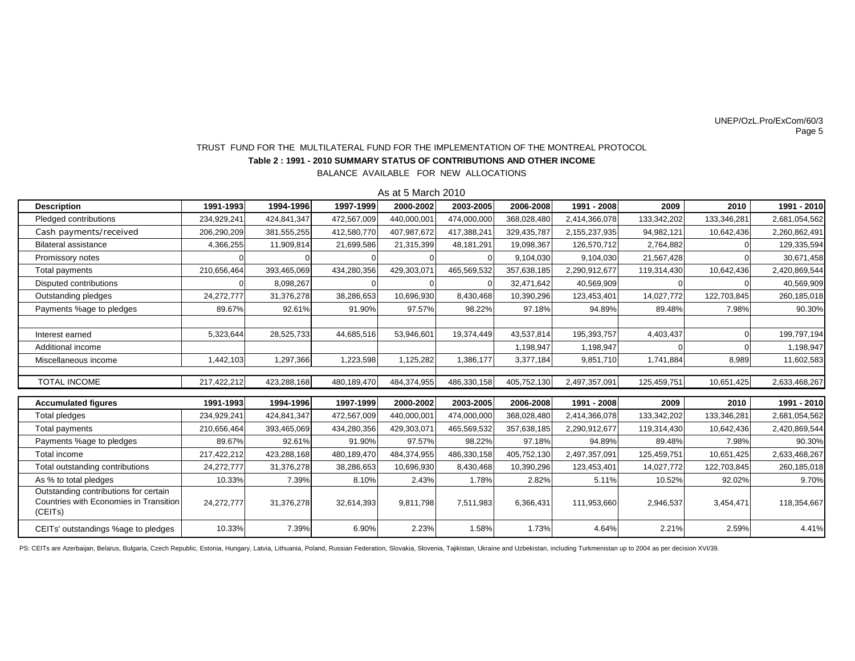#### Page 5 UNEP/OzL.Pro/ExCom/60/3

## **Table 2 : 1991 - 2010 SUMMARY STATUS OF CONTRIBUTIONS AND OTHER INCOME**TRUST FUND FOR THE MULTILATERAL FUND FOR THE IMPLEMENTATION OF THE MONTREAL PROTOCOL

BALANCE AVAILABLE FOR NEW ALLOCATIONS

As at 5 March 2010

| <b>Description</b>                                                                         | 1991-1993   | 1994-1996   | 1997-1999   | 2000-2002   | 2003-2005   | 2006-2008   | 1991 - 2008   | 2009        | 2010        | 1991 - 2010   |
|--------------------------------------------------------------------------------------------|-------------|-------------|-------------|-------------|-------------|-------------|---------------|-------------|-------------|---------------|
| Pledged contributions                                                                      | 234,929,241 | 424,841,347 | 472,567,009 | 440,000,001 | 474,000,000 | 368,028,480 | 2,414,366,078 | 133,342,202 | 133,346,281 | 2,681,054,562 |
| Cash payments/received                                                                     | 206,290,209 | 381,555,255 | 412,580,770 | 407,987,672 | 417,388,241 | 329,435,787 | 2,155,237,935 | 94,982,121  | 10,642,436  | 2,260,862,491 |
| <b>Bilateral assistance</b>                                                                | 4,366,255   | 11,909,814  | 21,699,586  | 21,315,399  | 48.181.291  | 19.098.367  | 126.570.712   | 2,764,882   |             | 129,335,594   |
| Promissory notes                                                                           |             |             |             |             |             | 9,104,030   | 9,104,030     | 21,567,428  |             | 30,671,458    |
| <b>Total payments</b>                                                                      | 210,656,464 | 393,465,069 | 434,280,356 | 429,303,071 | 465,569,532 | 357,638,185 | 2,290,912,677 | 119,314,430 | 10,642,436  | 2,420,869,544 |
| Disputed contributions                                                                     |             | 8,098,267   |             |             |             | 32,471,642  | 40,569,909    |             |             | 40,569,909    |
| Outstanding pledges                                                                        | 24,272,777  | 31,376,278  | 38,286,653  | 10,696,930  | 8,430,468   | 10,390,296  | 123,453,401   | 14,027,772  | 122,703,845 | 260,185,018   |
| Payments %age to pledges                                                                   | 89.67%      | 92.61%      | 91.90%      | 97.57%      | 98.22%      | 97.18%      | 94.89%        | 89.48%      | 7.98%       | 90.30%        |
|                                                                                            |             |             |             |             |             |             |               |             |             |               |
| Interest earned                                                                            | 5,323,644   | 28,525,733  | 44,685,516  | 53,946,601  | 19,374,449  | 43,537,814  | 195,393,757   | 4,403,437   |             | 199,797,194   |
| Additional income                                                                          |             |             |             |             |             | 1,198,947   | 1,198,947     |             |             | 1,198,947     |
| Miscellaneous income                                                                       | 1,442,103   | 1,297,366   | 1,223,598   | 1,125,282   | 1,386,177   | 3,377,184   | 9,851,710     | 1,741,884   | 8,989       | 11,602,583    |
|                                                                                            |             |             |             |             |             |             |               |             |             |               |
| <b>TOTAL INCOME</b>                                                                        | 217,422,212 | 423,288,168 | 480,189,470 | 484,374,955 | 486,330,158 | 405,752,130 | 2,497,357,091 | 125,459,751 | 10,651,425  | 2,633,468,267 |
| <b>Accumulated figures</b>                                                                 | 1991-1993   | 1994-1996   | 1997-1999   | 2000-2002   | 2003-2005   | 2006-2008   | 1991 - 2008   | 2009        | 2010        | 1991 - 2010   |
| Total pledges                                                                              | 234,929,241 | 424,841,347 | 472,567,009 | 440,000,001 | 474,000,000 | 368,028,480 | 2,414,366,078 | 133,342,202 | 133,346,281 | 2,681,054,562 |
| Total payments                                                                             | 210,656,464 | 393,465,069 | 434,280,356 | 429,303,071 | 465,569,532 | 357,638,185 | 2,290,912,677 | 119,314,430 | 10,642,436  | 2,420,869,544 |
| Payments %age to pledges                                                                   | 89.67%      | 92.61%      | 91.90%      | 97.57%      | 98.22%      | 97.18%      | 94.89%        | 89.48%      | 7.98%       | 90.30%        |
| Total income                                                                               | 217,422,212 | 423,288,168 | 480,189,470 | 484,374,955 | 486,330,158 | 405,752,130 | 2,497,357,091 | 125,459,751 | 10,651,425  | 2,633,468,267 |
| Total outstanding contributions                                                            | 24,272,777  | 31,376,278  | 38,286,653  | 10,696,930  | 8,430,468   | 10,390,296  | 123,453,401   | 14,027,772  | 122,703,845 | 260,185,018   |
| As % to total pledges                                                                      | 10.33%      | 7.39%       | 8.10%       | 2.43%       | 1.78%       | 2.82%       | 5.11%         | 10.52%      | 92.02%      | 9.70%         |
| Outstanding contributions for certain<br>Countries with Economies in Transition<br>(CEITs) | 24,272,777  | 31,376,278  | 32,614,393  | 9,811,798   | 7,511,983   | 6,366,431   | 111,953,660   | 2,946,537   | 3,454,471   | 118,354,667   |
| CEITs' outstandings %age to pledges                                                        | 10.33%      | 7.39%       | 6.90%       | 2.23%       | 1.58%       | 1.73%       | 4.64%         | 2.21%       | 2.59%       | 4.41%         |

PS: CEITs are Azerbaijan, Belarus, Bulgaria, Czech Republic, Estonia, Hungary, Latvia, Lithuania, Poland, Russian Federation, Slovakia, Slovenia, Tajikistan, Ukraine and Uzbekistan, including Turkmenistan up to 2004 as per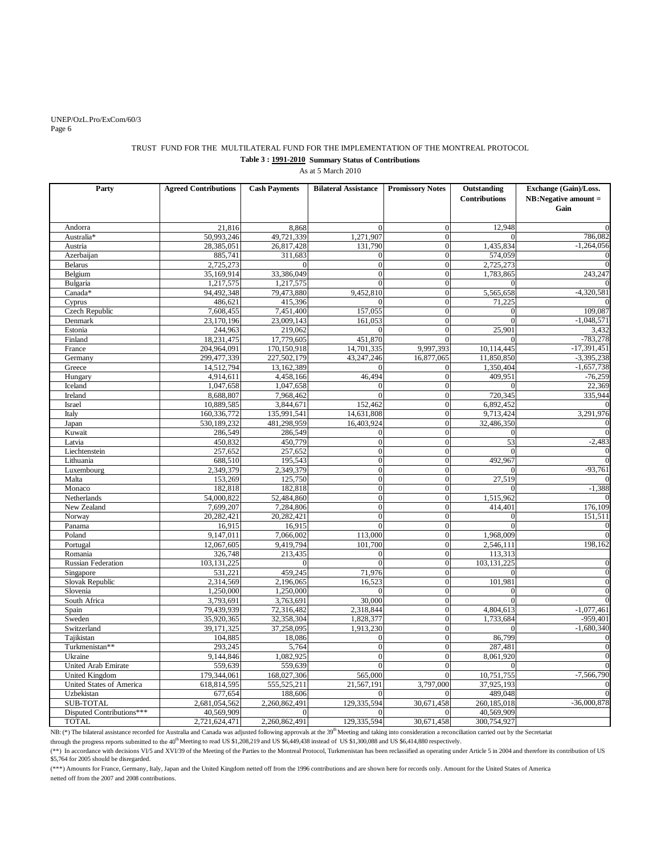#### UNEP/OzL.Pro/ExCom/60/3 Page 6

#### TRUST FUND FOR THE MULTILATERAL FUND FOR THE IMPLEMENTATION OF THE MONTREAL PROTOCOL **Table 3 : 1991-2010 Summary Status of Contributions** As at 5 March 2010

| Party                     | <b>Agreed Contributions</b> | <b>Cash Payments</b> | <b>Bilateral Assistance</b> | <b>Promissory Notes</b> | Outstanding<br><b>Contributions</b> | Exchange (Gain)/Loss.<br>$NB: Negative amount =$<br>Gain |
|---------------------------|-----------------------------|----------------------|-----------------------------|-------------------------|-------------------------------------|----------------------------------------------------------|
| Andorra                   | 21,816                      | 8,868                | $\Omega$                    | $\theta$                | 12.948                              | $\Omega$                                                 |
| Australia*                | 50,993,246                  | 49,721,339           | 1,271,907                   | $\overline{0}$          |                                     | 786,082                                                  |
| Austria                   | 28,385,051                  | 26,817,428           | 131,790                     | $\theta$                | 1,435,834                           | $-1,264,056$                                             |
| Azerbaijan                | 885,741                     | 311,683              | $\overline{0}$              | $\overline{0}$          | 574,059                             | 0                                                        |
| <b>Belarus</b>            | 2,725,273                   | $\Omega$             | $\mathbf{0}$                | $\overline{0}$          | 2,725,273                           | $\Omega$                                                 |
| Belgium                   | 35,169,914                  | 33,386,049           | $\theta$                    | $\boldsymbol{0}$        | 1,783,865                           | 243,247                                                  |
| Bulgaria                  | 1,217,575                   | 1,217,575            | $\overline{0}$              | $\overline{0}$          | $\Omega$                            |                                                          |
| Canada*                   | 94,492,348                  | 79,473,880           | 9,452,810                   | $\overline{0}$          | 5,565,658                           | $-4,320,581$                                             |
| Cyprus                    | 486,621                     | 415,396              |                             | $\Omega$                | 71,225                              |                                                          |
| Czech Republic            | 7,608,455                   | 7,451,400            | 157,055                     | $\overline{0}$          | $\overline{0}$                      | 109,087                                                  |
| Denmark                   | 23,170,196                  | 23,009,143           | 161,053                     | $\overline{0}$          | $\overline{0}$                      | $-1,048,571$                                             |
| Estonia                   | 244,963                     | 219,062              | $\Omega$                    | $\overline{0}$          | 25,901                              | 3,432                                                    |
| Finland                   | 18,231,475                  | 17,779,605           | 451,870                     | $\theta$                | $\Omega$                            | $-783,278$                                               |
| France                    | 204,964,091                 | 170,150,918          | 14,701,335                  | 9,997,393               | 10,114,445                          | $-17,391,451$                                            |
| Germany                   | 299,477,339                 | 227,502,179          | 43,247,246                  | 16,877,065              | 11,850,850                          | $-3,395,238$                                             |
| Greece                    | 14,512,794                  | 13,162,389           | $\theta$                    | $\overline{0}$          | 1,350,404                           | $-1,657,738$                                             |
| Hungary                   | 4,914,611                   | 4,458,166            | 46.494                      | $\overline{0}$          | 409.951                             | $-76,259$                                                |
| Iceland                   | 1,047,658                   | 1,047,658            | $\overline{0}$              | $\overline{0}$          |                                     | 22,369                                                   |
| Ireland                   | 8,688,807                   | 7,968,462            | $\overline{0}$              | $\overline{0}$          | 720,345                             | 335,944                                                  |
| Israel                    | 10,889,585                  | 3,844,671            | 152,462                     | $\Omega$                | 6,892,452                           |                                                          |
| Italy                     | 160,336,772                 | 135,991,541          | 14,631,808                  | $\overline{0}$          | 9,713,424                           | 3,291,976                                                |
| Japan                     | 530,189,232                 | 481,298,959          | 16,403,924                  | $\overline{0}$          | 32,486,350                          | $\mathbf{0}$                                             |
| Kuwait                    | 286,549                     | 286,549              | $\mathbf{0}$                | $\overline{0}$          | $\Omega$                            | $\overline{0}$                                           |
| Latvia                    | 450,832                     | 450,779              | $\overline{0}$              | $\overline{0}$          | 53                                  | $-2,483$                                                 |
| Liechtenstein             | 257,652                     | 257,652              | $\Omega$                    | $\boldsymbol{0}$        | $\Omega$                            | $\boldsymbol{0}$                                         |
| Lithuania                 | 688,510                     | 195,543              | $\overline{0}$              | $\overline{0}$          | 492,967                             | $\overline{0}$                                           |
| Luxembourg                | 2,349,379                   | 2,349,379            | $\mathbf{0}$                | $\overline{0}$          | $\Omega$                            | $-93,761$                                                |
| Malta                     | 153,269                     | 125,750              | $\overline{0}$              | $\overline{0}$          | 27,519                              | 0                                                        |
| Monaco                    | 182,818                     | 182,818              | $\overline{0}$              | $\overline{0}$          |                                     | $-1,388$                                                 |
| Netherlands               | 54,000,822                  | 52,484,860           | $\overline{0}$              | $\overline{0}$          | 1,515,962                           | $\boldsymbol{0}$                                         |
| New Zealand               | 7,699,207                   | 7,284,806            | $\overline{0}$              | $\overline{0}$          | 414,401                             | 176,109                                                  |
| Norway                    | 20,282,421                  | 20,282,421           | $\overline{0}$              | $\overline{0}$          | $\Omega$                            | 151,511                                                  |
| Panama                    | 16,915                      | 16,915               | $\overline{0}$              | $\boldsymbol{0}$        | $\Omega$                            | $\boldsymbol{0}$                                         |
| Poland                    | 9,147,011                   | 7,066,002            | 113,000                     | $\overline{0}$          | 1,968,009                           | $\Omega$                                                 |
| Portugal                  | 12,067,605                  | 9,419,794            | 101,700                     | $\boldsymbol{0}$        | 2,546,111                           | 198,162                                                  |
| Romania                   | 326,748                     | 213,435              | $\boldsymbol{0}$            | $\mathbf{0}$            | 113,313                             |                                                          |
| <b>Russian Federation</b> | 103, 131, 225               | $\Omega$             | $\overline{0}$              | $\overline{0}$          | 103, 131, 225                       | $\boldsymbol{0}$                                         |
| Singapore                 | 531,221                     | 459,245              | 71,976                      | $\overline{0}$          |                                     | $\overline{0}$                                           |
| Slovak Republic           | 2,314,569                   | 2,196,065            | 16.523                      | $\theta$                | 101.981                             | $\overline{0}$                                           |
| Slovenia                  | 1,250,000                   | 1,250,000            | $\Omega$                    | $\overline{0}$          | $\Omega$                            | $\mathbf{0}$                                             |
| South Africa              | 3,793,691                   | 3,763,691            | 30,000                      | $\overline{0}$          | $\Omega$                            | $\Omega$                                                 |
| Spain                     | 79,439,939                  | 72,316,482           | 2,318,844                   | $\theta$                | 4,804,613                           | $-1.077,461$                                             |
| Sweden                    | 35,920,365                  | 32,358,304           | 1,828,377                   | $\overline{0}$          | 1,733,684                           | $-959,401$                                               |
| Switzerland               | 39,171,325                  | 37,258,095           | 1,913,230                   | $\overline{0}$          | $\Omega$                            | $-1,680,340$                                             |
| Tajikistan                | 104,885                     | 18,086               | $\overline{0}$              | $\overline{0}$          | 86,799                              | $\theta$                                                 |
| Turkmenistan**            | 293,245                     | 5,764                | $\overline{0}$              | $\boldsymbol{0}$        | 287,481                             | $\boldsymbol{0}$                                         |
| Ukraine                   | 9,144,846                   | 1,082,925            | $\boldsymbol{0}$            | $\mathbf{0}$            | 8,061,920                           | $\mathbf{0}$                                             |
| United Arab Emirate       | 559,639                     | 559,639              | $\overline{0}$              | $\overline{0}$          | $\Omega$                            | $\overline{0}$                                           |
| United Kingdom            | 179,344,061                 | 168,027,306          | 565,000                     | $\Omega$                | 10,751,755                          | $-7,566,790$                                             |
| United States of America  | 618,814,595                 | 555,525,211          | 21,567,191                  | 3,797,000               | 37,925,193                          | $\boldsymbol{0}$                                         |
| Uzbekistan                | 677,654                     | 188,606              | $\theta$                    |                         | 489,048                             | $\overline{0}$                                           |
| <b>SUB-TOTAL</b>          | 2,681,054,562               | 2,260,862,491        | 129,335,594                 | 30,671,458              | 260,185,018                         | $-36,000,878$                                            |
| Disputed Contributions*** | 40,569,909                  |                      | $\theta$                    |                         | 40,569,909                          |                                                          |
| <b>TOTAL</b>              | 2,721,624,471               | 2,260,862,491        | 129,335,594                 | 30,671,458              | 300,754,927                         |                                                          |

NB: (\*) The bilateral assistance recorded for Australia and Canada was adjusted following approvals at the 39<sup>th</sup> Meeting and taking into consideration a reconciliation carried out by the Secretariat

through the progress reports submitted to the 40<sup>th</sup> Meeting to read US \$1,208,219 and US \$6,449,438 instead of US \$1,300,088 and US \$6,414,880 respectively.

(\*\*) In accordance with decisions VI/5 and XVI/39 of the Meeting of the Parties to the Montreal Protocol, Turkmenistan has been reclassified as operating under Article 5 in 2004 and therefore its contribution of US \$5,764 for 2005 should be disregarded.

netted off from the 2007 and 2008 contributions. (\*\*\*) Amounts for France, Germany, Italy, Japan and the United Kingdom netted off from the 1996 contributions and are shown here for records only. Amount for the United States of America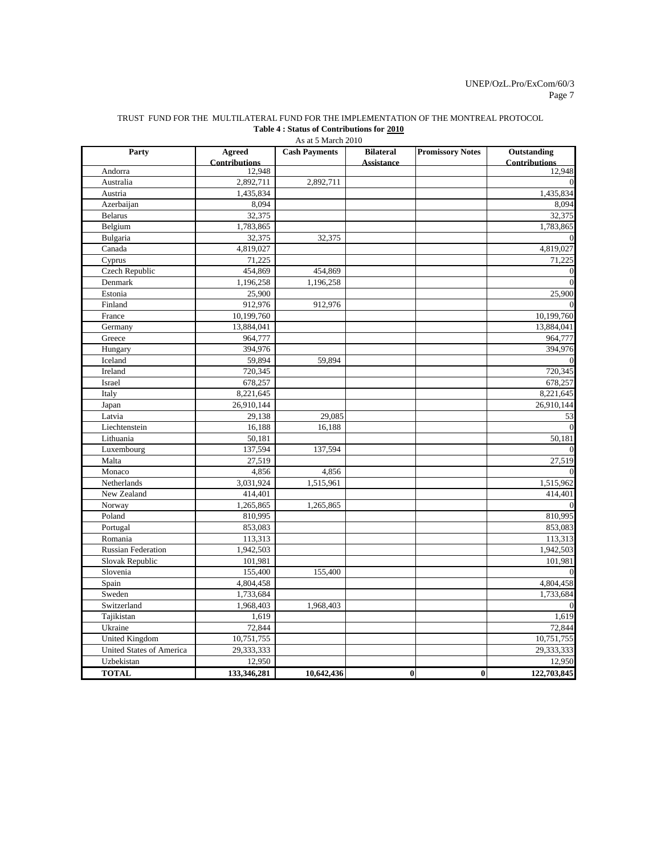#### TRUST FUND FOR THE MULTILATERAL FUND FOR THE IMPLEMENTATION OF THE MONTREAL PROTOCOL **Table 4 : Status of Contributions for 2010**

As at 5 March 2010

| Party                           | <b>Agreed</b><br><b>Contributions</b> | $110 \text{ at } 311 \text{ at } 201$<br><b>Cash Payments</b> | <b>Bilateral</b><br><b>Assistance</b> | <b>Promissory Notes</b> | <b>Outstanding</b><br><b>Contributions</b> |
|---------------------------------|---------------------------------------|---------------------------------------------------------------|---------------------------------------|-------------------------|--------------------------------------------|
| Andorra                         | 12,948                                |                                                               |                                       |                         | 12,948                                     |
| Australia                       | 2,892,711                             | 2,892,711                                                     |                                       |                         | $\Omega$                                   |
| Austria                         | 1,435,834                             |                                                               |                                       |                         | 1,435,834                                  |
| Azerbaijan                      | 8,094                                 |                                                               |                                       |                         | 8.094                                      |
| <b>Belarus</b>                  | 32,375                                |                                                               |                                       |                         | 32,375                                     |
| Belgium                         | 1,783,865                             |                                                               |                                       |                         | 1,783,865                                  |
| Bulgaria                        | 32,375                                | 32,375                                                        |                                       |                         |                                            |
| Canada                          | 4,819,027                             |                                                               |                                       |                         | 4,819,027                                  |
| Cyprus                          | 71,225                                |                                                               |                                       |                         | 71,225                                     |
| Czech Republic                  | 454,869                               | 454,869                                                       |                                       |                         | $\mathbf{0}$                               |
| Denmark                         | 1,196,258                             | 1,196,258                                                     |                                       |                         | $\overline{0}$                             |
| Estonia                         | 25,900                                |                                                               |                                       |                         | 25,900                                     |
| Finland                         | 912,976                               | 912,976                                                       |                                       |                         | $\Omega$                                   |
| France                          | 10,199,760                            |                                                               |                                       |                         | 10,199,760                                 |
| Germany                         | 13,884,041                            |                                                               |                                       |                         | 13,884,041                                 |
| Greece                          | 964,777                               |                                                               |                                       |                         | 964,777                                    |
| Hungary                         | 394,976                               |                                                               |                                       |                         | 394,976                                    |
| Iceland                         | 59,894                                | 59,894                                                        |                                       |                         | $\theta$                                   |
| Ireland                         | 720,345                               |                                                               |                                       |                         | 720,345                                    |
| Israel                          | 678,257                               |                                                               |                                       |                         | 678,257                                    |
| Italy                           | 8,221,645                             |                                                               |                                       |                         | 8,221,645                                  |
| Japan                           | 26,910,144                            |                                                               |                                       |                         | 26,910,144                                 |
| Latvia                          | 29,138                                | 29,085                                                        |                                       |                         | 53                                         |
| Liechtenstein                   | 16,188                                | 16,188                                                        |                                       |                         | $\Omega$                                   |
| Lithuania                       | 50,181                                |                                                               |                                       |                         | 50,181                                     |
| Luxembourg                      | 137,594                               | 137,594                                                       |                                       |                         |                                            |
| Malta                           | 27,519                                |                                                               |                                       |                         | 27,519                                     |
| Monaco                          | 4,856                                 | 4,856                                                         |                                       |                         | $\Omega$                                   |
| Netherlands                     | 3,031,924                             | 1,515,961                                                     |                                       |                         | 1,515,962                                  |
| New Zealand                     | 414,401                               |                                                               |                                       |                         | 414,401                                    |
| Norway                          | 1,265,865                             | 1,265,865                                                     |                                       |                         | $\mathbf{0}$                               |
| Poland                          | 810,995                               |                                                               |                                       |                         | 810,995                                    |
| Portugal                        | 853,083                               |                                                               |                                       |                         | 853,083                                    |
| Romania                         | 113,313                               |                                                               |                                       |                         | 113,313                                    |
| <b>Russian Federation</b>       | 1,942,503                             |                                                               |                                       |                         | 1,942,503                                  |
| Slovak Republic                 | 101,981                               |                                                               |                                       |                         | 101,981                                    |
| Slovenia                        | 155,400                               | 155,400                                                       |                                       |                         |                                            |
| Spain                           | 4,804,458                             |                                                               |                                       |                         | 4,804,458                                  |
| Sweden                          | 1,733,684                             |                                                               |                                       |                         | 1,733,684                                  |
| Switzerland                     | 1,968,403                             | 1,968,403                                                     |                                       |                         |                                            |
| Tajikistan                      | 1,619                                 |                                                               |                                       |                         | 1,619                                      |
| Ukraine                         | 72,844                                |                                                               |                                       |                         | 72,844                                     |
| <b>United Kingdom</b>           | 10,751,755                            |                                                               |                                       |                         | 10,751,755                                 |
| <b>United States of America</b> | 29,333,333                            |                                                               |                                       |                         | 29,333,333                                 |
| Uzbekistan                      | 12,950                                |                                                               |                                       |                         | 12,950                                     |
| <b>TOTAL</b>                    | 133,346,281                           | 10,642,436                                                    | $\bf{0}$                              | $\bf{0}$                | 122,703,845                                |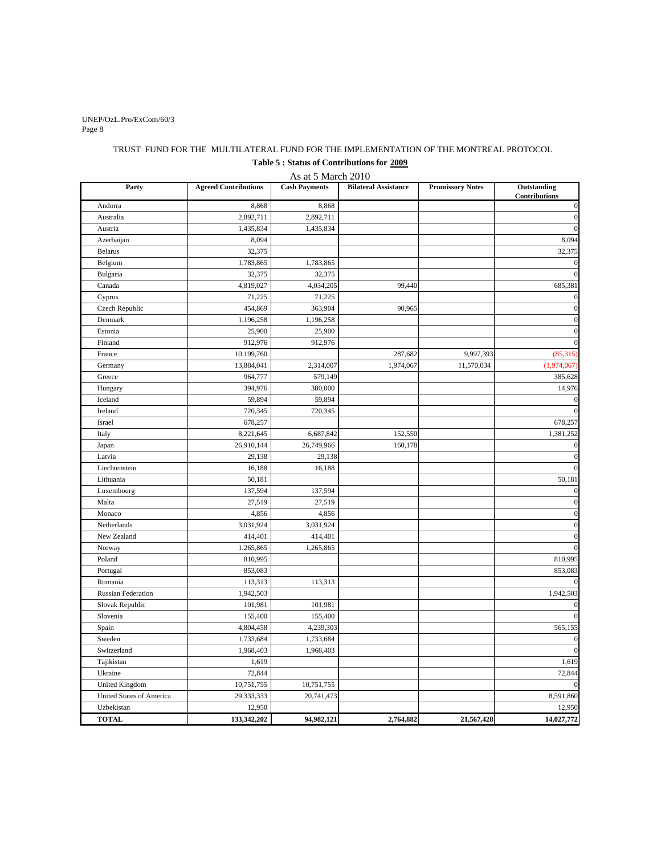#### Page 8 UNEP/OzL.Pro/ExCom/60/3

### TRUST FUND FOR THE MULTILATERAL FUND FOR THE IMPLEMENTATION OF THE MONTREAL PROTOCOL **Table 5 : Status of Contributions for 2009**

As at 5 March 2010

| Party                     | <b>Agreed Contributions</b> | <b>Cash Payments</b> | <b>Bilateral Assistance</b> | <b>Promissory Notes</b> | Outstanding<br>Contributions |
|---------------------------|-----------------------------|----------------------|-----------------------------|-------------------------|------------------------------|
| Andorra                   | 8,868                       | 8,868                |                             |                         | $\boldsymbol{0}$             |
| Australia                 | 2,892,711                   | 2,892,711            |                             |                         | $\boldsymbol{0}$             |
| Austria                   | 1,435,834                   | 1,435,834            |                             |                         | $\mathbf{0}$                 |
| Azerbaijan                | 8,094                       |                      |                             |                         | 8,094                        |
| <b>Belarus</b>            | 32,375                      |                      |                             |                         | 32,375                       |
| Belgium                   | 1,783,865                   | 1,783,865            |                             |                         | $\boldsymbol{0}$             |
| Bulgaria                  | 32,375                      | 32,375               |                             |                         | $\overline{0}$               |
| Canada                    | 4,819,027                   | 4,034,205            | 99,440                      |                         | 685,381                      |
| Cyprus                    | 71,225                      | 71,225               |                             |                         | $\boldsymbol{0}$             |
| Czech Republic            | 454,869                     | 363,904              | 90,965                      |                         | $\boldsymbol{0}$             |
| Denmark                   | 1,196,258                   | 1,196,258            |                             |                         | $\boldsymbol{0}$             |
| Estonia                   | 25,900                      | 25,900               |                             |                         | $\overline{0}$               |
| Finland                   | 912,976                     | 912,976              |                             |                         | $\mathbf{0}$                 |
| France                    | 10,199,760                  |                      | 287,682                     | 9,997,393               | (85,315)                     |
| Germany                   | 13,884,041                  | 2,314,007            | 1,974,067                   | 11,570,034              | (1,974,067)                  |
| Greece                    | 964,777                     | 579,149              |                             |                         | 385,628                      |
| Hungary                   | 394,976                     | 380,000              |                             |                         | 14,976                       |
| Iceland                   | 59,894                      | 59,894               |                             |                         | $\boldsymbol{0}$             |
| Ireland                   | 720,345                     | 720,345              |                             |                         | $\overline{0}$               |
| Israel                    | 678,257                     |                      |                             |                         | 678,257                      |
| Italy                     | 8,221,645                   | 6,687,842            | 152,550                     |                         | 1,381,252                    |
| Japan                     | 26,910,144                  | 26,749,966           | 160,178                     |                         | $\mathbf{0}$                 |
| Latvia                    | 29,138                      | 29,138               |                             |                         | $\overline{0}$               |
| Liechtenstein             | 16,188                      | 16,188               |                             |                         | $\mathbf{0}$                 |
| Lithuania                 | 50,181                      |                      |                             |                         | 50,181                       |
| Luxembourg                | 137,594                     | 137,594              |                             |                         | $\overline{0}$               |
| Malta                     | 27,519                      | 27,519               |                             |                         | $\mathbf{0}$                 |
| Monaco                    | 4,856                       | 4,856                |                             |                         | $\overline{0}$               |
| Netherlands               | 3,031,924                   | 3,031,924            |                             |                         | $\boldsymbol{0}$             |
| New Zealand               | 414,401                     | 414,401              |                             |                         | $\mathbf{0}$                 |
| Norway                    | 1,265,865                   | 1,265,865            |                             |                         | $\mathbf{0}$                 |
| Poland                    | 810,995                     |                      |                             |                         | 810,995                      |
| Portugal                  | 853,083                     |                      |                             |                         | 853,083                      |
| Romania                   | 113,313                     | 113,313              |                             |                         | $\boldsymbol{0}$             |
| <b>Russian Federation</b> | 1,942,503                   |                      |                             |                         | 1,942,503                    |
| Slovak Republic           | 101,981                     | 101,981              |                             |                         | $\boldsymbol{0}$             |
| Slovenia                  | 155,400                     | 155,400              |                             |                         | $\boldsymbol{0}$             |
| Spain                     | 4,804,458                   | 4,239,303            |                             |                         | 565,155                      |
| Sweden                    | 1,733,684                   | 1,733,684            |                             |                         | $\boldsymbol{0}$             |
| Switzerland               | 1,968,403                   | 1,968,403            |                             |                         | $\overline{0}$               |
| Tajikistan                | 1,619                       |                      |                             |                         | 1,619                        |
| Ukraine                   | 72,844                      |                      |                             |                         | 72,844                       |
| United Kingdom            | 10,751,755                  | 10,751,755           |                             |                         | $\mathbf{0}$                 |
| United States of America  | 29,333,333                  | 20,741,473           |                             |                         | 8,591,860                    |
| Uzbekistan                | 12,950                      |                      |                             |                         | 12,950                       |
| <b>TOTAL</b>              | 133,342,202                 | 94,982,121           | 2,764,882                   | 21,567,428              | 14,027,772                   |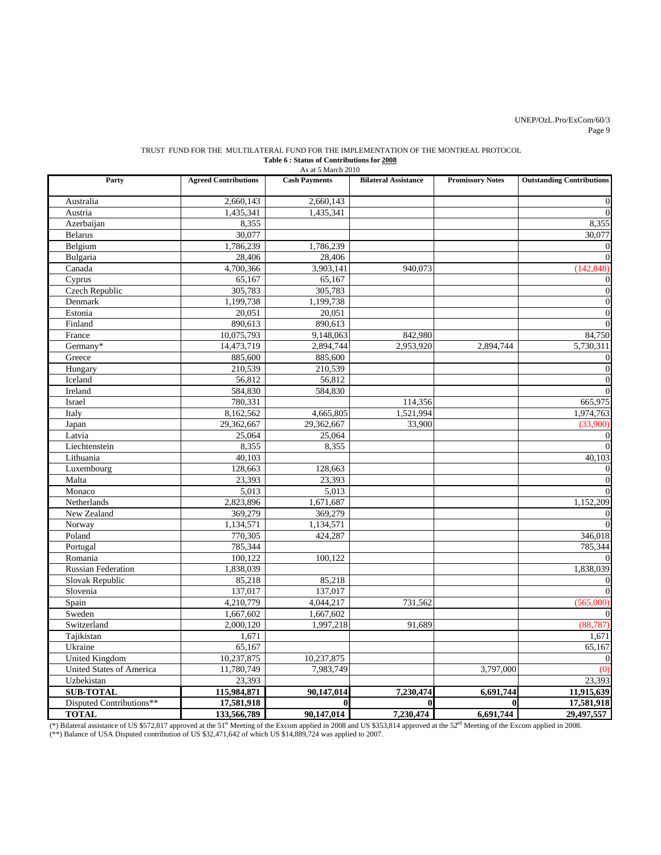#### Page 9 UNEP/OzL.Pro/ExCom/60/3

#### TRUST FUND FOR THE MULTILATERAL FUND FOR THE IMPLEMENTATION OF THE MONTREAL PROTOCOL **Table 6 : Status of Contributions for 2008**

| As at 5 March 2010        |                             |                        |                             |                         |                                  |  |  |  |  |  |
|---------------------------|-----------------------------|------------------------|-----------------------------|-------------------------|----------------------------------|--|--|--|--|--|
| Party                     | <b>Agreed Contributions</b> | <b>Cash Payments</b>   | <b>Bilateral Assistance</b> | <b>Promissory Notes</b> | <b>Outstanding Contributions</b> |  |  |  |  |  |
| Australia                 | 2,660,143                   | 2,660,143              |                             |                         | $\boldsymbol{0}$                 |  |  |  |  |  |
| Austria                   | 1,435,341                   | 1,435,341              |                             |                         | $\Omega$                         |  |  |  |  |  |
| Azerbaijan                | 8,355                       |                        |                             |                         | 8,355                            |  |  |  |  |  |
| <b>Belarus</b>            | 30,077                      |                        |                             |                         | 30,077                           |  |  |  |  |  |
| Belgium                   | 1,786,239                   | 1,786,239              |                             |                         | $\boldsymbol{0}$                 |  |  |  |  |  |
| Bulgaria                  | 28,406                      | 28,406                 |                             |                         | $\overline{0}$                   |  |  |  |  |  |
| Canada                    | 4,700,366                   | $\overline{3,903,141}$ | 940,073                     |                         | (142, 848)                       |  |  |  |  |  |
| Cyprus                    | 65,167                      | 65,167                 |                             |                         | $\boldsymbol{0}$                 |  |  |  |  |  |
| <b>Czech Republic</b>     | 305,783                     | 305,783                |                             |                         | $\boldsymbol{0}$                 |  |  |  |  |  |
| Denmark                   | 1,199,738                   | 1,199,738              |                             |                         | $\boldsymbol{0}$                 |  |  |  |  |  |
| Estonia                   | 20,051                      | 20,051                 |                             |                         | $\boldsymbol{0}$                 |  |  |  |  |  |
| Finland                   | 890,613                     | 890,613                |                             |                         | $\overline{0}$                   |  |  |  |  |  |
| France                    | 10,075,793                  | 9,148,063              | 842,980                     |                         | 84,750                           |  |  |  |  |  |
| Germany*                  | 14,473,719                  | 2,894,744              | 2,953,920                   | 2,894,744               | 5,730,311                        |  |  |  |  |  |
| Greece                    | 885,600                     | 885,600                |                             |                         | $\boldsymbol{0}$                 |  |  |  |  |  |
| Hungary                   | 210,539                     | 210,539                |                             |                         | $\boldsymbol{0}$                 |  |  |  |  |  |
| Iceland                   | 56.812                      | 56,812                 |                             |                         | $\boldsymbol{0}$                 |  |  |  |  |  |
| Ireland                   | 584,830                     | 584,830                |                             |                         | $\boldsymbol{0}$                 |  |  |  |  |  |
| Israel                    | 780,331                     |                        | 114,356                     |                         | 665,975                          |  |  |  |  |  |
| Italy                     | 8,162,562                   | 4,665,805              | 1,521,994                   |                         | 1,974,763                        |  |  |  |  |  |
| Japan                     | 29,362,667                  | 29,362,667             | 33,900                      |                         | (33,900)                         |  |  |  |  |  |
| Latvia                    | 25,064                      | 25,064                 |                             |                         | $\boldsymbol{0}$                 |  |  |  |  |  |
| Liechtenstein             | 8,355                       | 8,355                  |                             |                         | $\theta$                         |  |  |  |  |  |
| Lithuania                 | 40,103                      |                        |                             |                         | 40,103                           |  |  |  |  |  |
| Luxembourg                | 128,663                     | 128,663                |                             |                         | $\overline{0}$                   |  |  |  |  |  |
| Malta                     | 23,393                      | 23,393                 |                             |                         | $\overline{0}$                   |  |  |  |  |  |
| Monaco                    | 5,013                       | 5,013                  |                             |                         | $\theta$                         |  |  |  |  |  |
| Netherlands               | 2,823,896                   | 1,671,687              |                             |                         | 1,152,209                        |  |  |  |  |  |
| New Zealand               | 369,279                     | 369,279                |                             |                         | $\boldsymbol{0}$                 |  |  |  |  |  |
| Norway                    | 1,134,571                   | 1,134,571              |                             |                         | $\theta$                         |  |  |  |  |  |
| Poland                    | 770,305                     | 424,287                |                             |                         | 346,018                          |  |  |  |  |  |
| Portugal                  | 785,344                     |                        |                             |                         | 785,344                          |  |  |  |  |  |
| Romania                   | 100.122                     | 100,122                |                             |                         | $\Omega$                         |  |  |  |  |  |
| <b>Russian Federation</b> | 1,838,039                   |                        |                             |                         | 1,838,039                        |  |  |  |  |  |
| Slovak Republic           | 85,218                      | 85,218                 |                             |                         | $\boldsymbol{0}$                 |  |  |  |  |  |
| Slovenia                  | 137,017                     | 137,017                |                             |                         | $\theta$                         |  |  |  |  |  |
| Spain                     | 4,210,779                   | 4,044,217              | 731,562                     |                         | (565,000)                        |  |  |  |  |  |
| Sweden                    | 1,667,602                   | 1,667,602              |                             |                         | $\overline{0}$                   |  |  |  |  |  |
| Switzerland               | 2,000,120                   | 1,997,218              | 91,689                      |                         | (88, 787)                        |  |  |  |  |  |
| Tajikistan                | 1,671                       |                        |                             |                         | 1,671                            |  |  |  |  |  |
| Ukraine                   | 65,167                      |                        |                             |                         | 65,167                           |  |  |  |  |  |
| United Kingdom            | 10,237,875                  | 10,237,875             |                             |                         | $\boldsymbol{0}$                 |  |  |  |  |  |
| United States of America  | 11,780,749                  | 7,983,749              |                             | 3,797,000               | (0)                              |  |  |  |  |  |
| Uzbekistan                | 23,393                      |                        |                             |                         | 23,393                           |  |  |  |  |  |
| <b>SUB-TOTAL</b>          | 115,984,871                 | 90,147,014             | 7,230,474                   | 6,691,744               | 11,915,639                       |  |  |  |  |  |
| Disputed Contributions**  | 17,581,918                  | $\mathbf{0}$           | $\mathbf{0}$                | $\bf{0}$                | 17,581,918                       |  |  |  |  |  |
| <b>TOTAL</b>              | 133,566,789                 | 90,147,014             | 7,230,474                   | 6,691,744               | 29,497,557                       |  |  |  |  |  |

(\*\*) Balance of USA Disputed contribution of US \$32,471,642 of which US \$14,889,724 was applied to 2007. (\*) Bilateral assistance of US \$572,817 approved at the 51<sup>st</sup> Meeting of the Excom applied in 2008 and US \$353,814 approved at the 52<sup>nd</sup> Meeting of the Excom applied in 2008.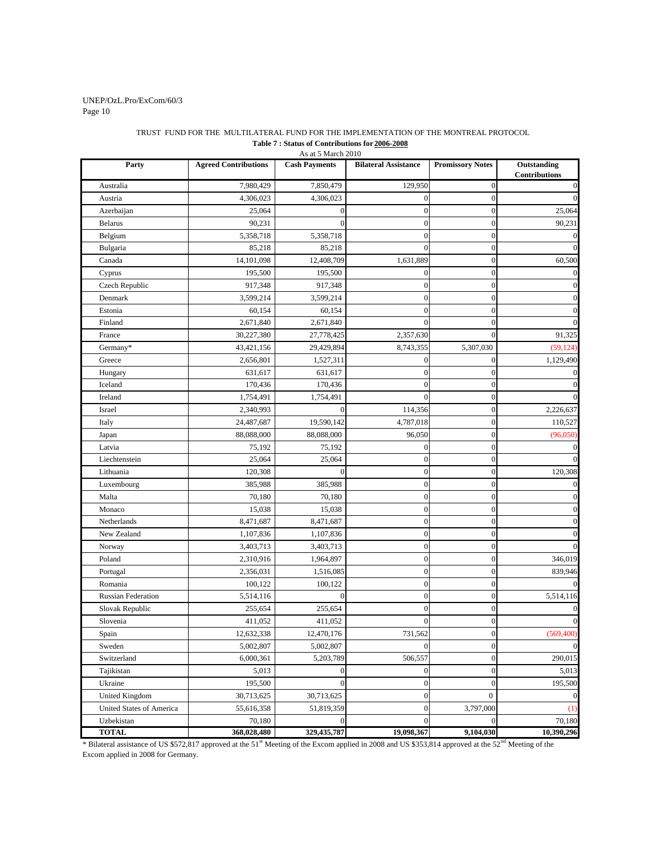#### Page 10 UNEP/OzL.Pro/ExCom/60/3

#### TRUST FUND FOR THE MULTILATERAL FUND FOR THE IMPLEMENTATION OF THE MONTREAL PROTOCOL **Table 7 : Status of Contributions for 2006-2008**

Party **Agreed Contributions Cash Payments Bilateral Assistance Promissory Notes Outstanding Contributions** Australia 7,980,429 7,850,479 129,950 0 0 Austria 4,306,023 4,306,023 0 0 0 Azerbaijan 25,064 0 0 0 25,064 Belarus 1 90,231 0 0 0 90,231 Belgium  $5,358,718$   $5,358,718$  0 0 0 0 Bulgaria 85,218 85,218 0 0 0 Canada 14,101,098 12,408,709 1,631,889 0 60,500 Cyprus 195,500 195,500 0 0 0 Czech Republic  $917,348$   $917,348$   $0$  0 0 0 0 Denmark 1 3,599,214 3,599,214 0 0 0 0 0 Estonia 60,154 60,154 0 0 0 Finland 1 2,671,840 2,671,840 0 0 0 0 0 France 1 30,227,380 27,778,425 2,357,630 0 91,325 Germany\* 13,421,156 29,429,894 8,743,355 5,307,030 (59,124) Greece 1 2,656,801 1,527,311 0 0 1,129,490 Hungary 631,617 631,617 0 0 0 Iceland 170,436 170,436 0 0 0 Ireland 1,754,491 1,754,491 1,754,491 0 0 0 0 0 Israel 114,356 0 2,226,637 0 2,226,637 Italy 10,527 110,527 19,590,142 4,787,018 0 110,527 Japan 88,088,000 88,088,000 96,050 0 (96,050) Latvia 75,192 75,192 0 0 0 Liechtenstein 25,064 25,064 0 0 0 Lithuania 120,308 0 0 0 120,308 0 0 0 120,308 0 120,308 0 120,308 0 120,308 0 120,308 0 120,308 0 120,308 0 120 Luxembourg 385,988 385,988 0 0 0 Malta 70,180 70,180 0 0 0 Monaco 15,038 15,038 0 0 0 Netherlands 8,471,687 8,471,687 0 0 0 New Zealand 1,107,836 1,107,836 0 0 0 Norway 1 3,403,713 3,403,713 0 0 0 0 0 Poland 1,964,897 0 0 0 346,019 0 346,019 Portugal 2,356,031 1,516,085 0 0 0 839,946 Romania 100,122 100,122 0 0 0 Russian Federation  $5,514,116$  0 0 0 5,514,116 Slovak Republic 255,654 255,654 0 0 0 Slovenia (and  $\begin{array}{ccc} 411,052 & 411,052 & 0 & 0 \end{array}$  (and  $\begin{array}{ccc} 0 & 0 & 0 \end{array}$ Spain 12,632,338 12,470,176 731,562 0 (569,400) Sweden 5,002,807 5,002,807 0 0 0 Switzerland 1 (6,000,361 5,203,789 506,557 0 290,015 Tajikistan 5,013 0 0 0 5,013 Ukraine 195,500 0 0 0 195,500 0 0 195,500 0 0 195,500 0 195,500 0 195,500 0 0 195,500 0 196 0 196 0 196 0 197 0 United Kingdom 30,713,625 30,713,625 0 0 0 United States of America 1 55,616,358 51,819,359 0 3,797,000 3,797,000 1 Uzbekistan 70,180 0 0 0 70,180 **TOTAL 368,028,480 329,435,787 19,098,367 9,104,030 10,390,296** As at 5 March 2010

\* Bilateral assistance of US \$572,817 approved at the 51<sup>st</sup> Meeting of the Excom applied in 2008 and US \$353,814 approved at the 52<sup>nd</sup> Meeting of the Excom applied in 2008 for Germany.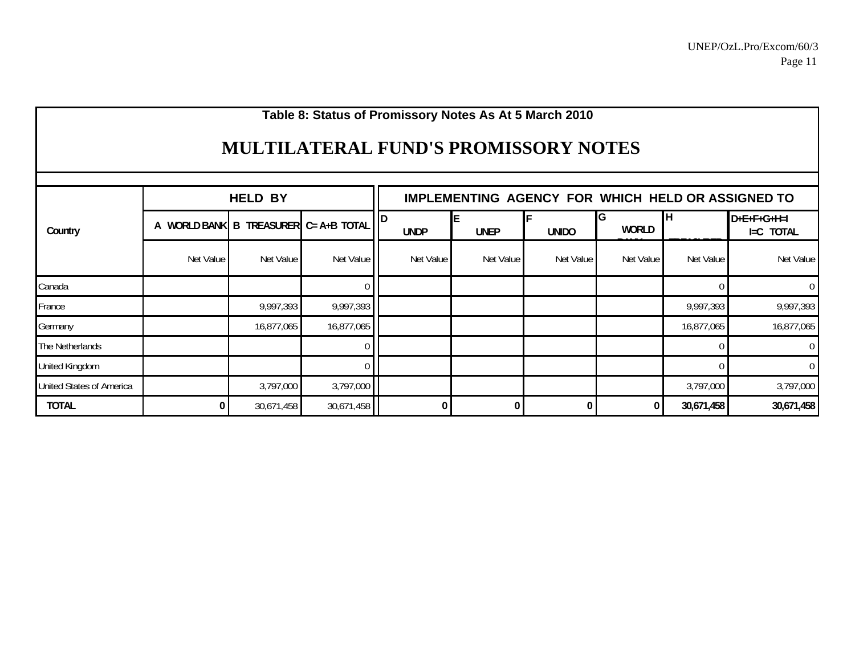# **Table 8: Status of Promissory Notes As At 5 March 2010**

# **MULTILATERAL FUND'S PROMISSORY NOTES**

|                          |           | <b>HELD BY</b>                                        |            |             | <b>IMPLEMENTING AGENCY FOR WHICH HELD OR ASSIGNED TO</b> |              |            |            |                            |  |
|--------------------------|-----------|-------------------------------------------------------|------------|-------------|----------------------------------------------------------|--------------|------------|------------|----------------------------|--|
| Country                  | А         | WORLD BANK $\overline{B}$ TREASURER $C = A + B$ TOTAL |            | <b>UNDP</b> | <b>UNEP</b>                                              | <b>UNIDO</b> | G<br>WORLD | IΗ         | $D+E+F+G+H=I$<br>I=C TOTAL |  |
|                          | Net Value | Net Value                                             | Net Value  | Net Value   | Net Value                                                | Net Value    | Net Value  | Net Value  | Net Value                  |  |
| Canada                   |           |                                                       |            |             |                                                          |              |            |            | $\mathbf 0$                |  |
| France                   |           | 9,997,393                                             | 9,997,393  |             |                                                          |              |            | 9,997,393  | 9,997,393                  |  |
| Germany                  |           | 16,877,065                                            | 16,877,065 |             |                                                          |              |            | 16,877,065 | 16,877,065                 |  |
| The Netherlands          |           |                                                       |            |             |                                                          |              |            |            | $\overline{0}$             |  |
| <b>United Kingdom</b>    |           |                                                       |            |             |                                                          |              |            |            | $\boldsymbol{0}$           |  |
| United States of America |           | 3,797,000                                             | 3,797,000  |             |                                                          |              |            | 3,797,000  | 3,797,000                  |  |
| <b>TOTAL</b>             |           | 30,671,458                                            | 30,671,458 |             | $\overline{0}$                                           |              | 0          | 30,671,458 | 30,671,458                 |  |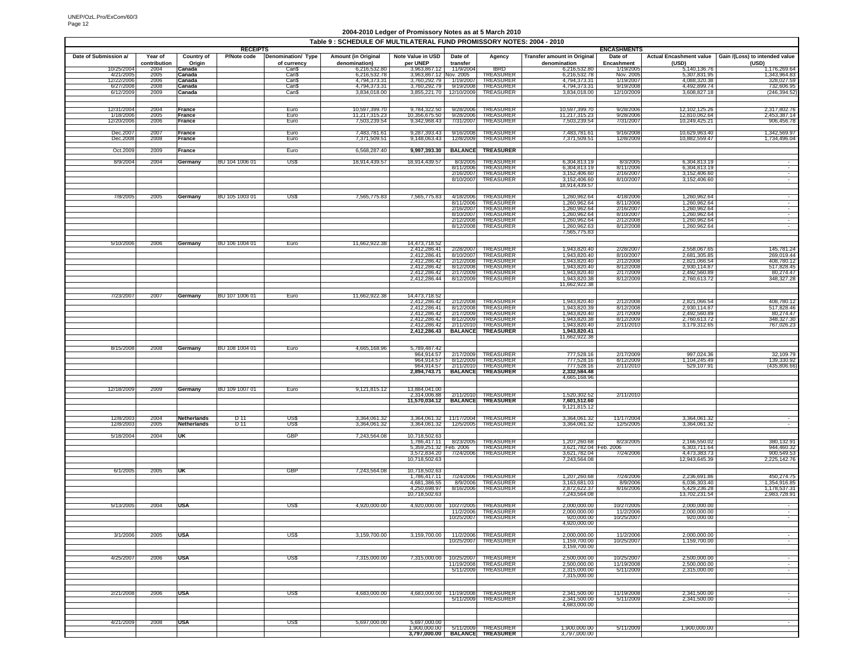#### **2004-2010 Ledger of Promissory Notes as at 5 March 2010**

|                        |              |                   |                                |                    | Table 9 : SCHEDULE OF MULTILATERAL FUND PROMISSORY NOTES: 2004 - 2010 |                                         |                          |                                                       |                                    |                               |                                |                                                        |
|------------------------|--------------|-------------------|--------------------------------|--------------------|-----------------------------------------------------------------------|-----------------------------------------|--------------------------|-------------------------------------------------------|------------------------------------|-------------------------------|--------------------------------|--------------------------------------------------------|
| Date of Submission a/  | Year of      | <b>Country of</b> | <b>RECEIPTS</b><br>P/Note code | Denomination/ Type | <b>Amount (in Original</b>                                            | Note Value in USD                       | Date of                  | Agency                                                | <b>Transfer amount in Original</b> | <b>ENCASHMENTS</b><br>Date of |                                | Actual Encashment value Gain /(Loss) to intended value |
|                        | contribution | Origin            |                                | of currency        | denomination)                                                         | per UNEP                                | transfer                 |                                                       | denomination                       | Encashment                    | (USD)                          | (USD)                                                  |
| 10/25/2004             | 2004         | Canada            |                                | Can\$              | 6,216,532.80                                                          | 3,963,867.12                            | 11/9/2004                | <b>IBRD</b>                                           | 6.216.532.80                       | 1/19/2005                     | 5,140,136.76                   | 1,176,269.64                                           |
| 4/21/200<br>12/22/2006 | 2005<br>2006 | Canada<br>Canada  |                                | Can\$<br>Can\$     | 6,216,532.78<br>4,794,373.31                                          | 3,963,867.12 Nov. 2005<br>3,760,292.79  | 1/19/2007                | TREASURER<br>TREASURER                                | 6,216,532.78<br>4,794,373.31       | Nov. 2005<br>1/19/2007        | 5,307,831.95<br>4,088,320.38   | 1,343,964.83<br>328,027.59                             |
| 6/27/200               | 2008         | Canada            |                                | Can\$              | 4,794,373.31                                                          | 3,760,292.79                            | 9/19/2008                | TREASURER                                             | 4,794,373.31<br>3,834,018.00       | 9/19/200                      | 4,492,899.74                   | 732,606.95                                             |
| 6/12/2009              | 2009         | Canada            |                                | CanS               | 3,834,018.00                                                          | 3,855,221.70 12/10/2009                 |                          | TREASURER                                             |                                    | 12/10/200                     | 3,608,827.18                   | (246, 394.52)                                          |
|                        |              |                   |                                |                    |                                                                       |                                         |                          |                                                       |                                    |                               |                                |                                                        |
| 12/31/2004             | 2004         | France            |                                | Euro               | 10,597,399.70                                                         | 9.784.322.50                            | 9/28/2006                | TREASURER                                             | 10,597,399.70                      | 9/28/2006                     | 12,102,125.26                  | 2.317.802.76                                           |
| 1/18/2006<br>12/20/200 | 2005<br>2006 | France<br>France  |                                | Euro<br>Euro       | 11,217,315.23<br>7,503,239.54                                         | 10,356,675.50<br>9,342,968.43           | 9/28/2006<br>7/31/2007   | <b>TREASURER</b><br>TREASURER                         | 11,217,315.23<br>7,503,239.54      | 9/28/2006<br>7/31/2007        | 12,810,062.64<br>10,249,425.21 | 2,453,387.14<br>906,456.78                             |
|                        |              |                   |                                |                    |                                                                       |                                         |                          |                                                       |                                    |                               |                                |                                                        |
| Dec.2007<br>Dec.200    | 2007<br>2008 | France<br>France  |                                | Euro<br>Euro       | 7,483,781.61<br>7,371,509.51                                          | 9,287,393.43<br>9,148,063.43            | 9/16/2008<br>12/8/2009   | TREASURER<br>TREASURER                                | 7,483,781.61<br>7,371,509.51       | 9/16/2008<br>12/8/2009        | 10,629,963.40<br>10,882,559.47 | 1,342,569.97<br>1,734,496.04                           |
|                        |              |                   |                                |                    |                                                                       |                                         |                          |                                                       |                                    |                               |                                |                                                        |
| Oct.2009               | 2009         | France            |                                | Euro               | 6,568,287.40                                                          | 9,997,393.30                            |                          | BALANCE TREASURER                                     |                                    |                               |                                |                                                        |
| 8/9/2004               | 2004         | Germany           | BU 104 1006 01                 | US\$               | 18,914,439.57                                                         | 18,914,439.57                           | 8/3/2005                 | TREASURER                                             | 6,304,813.19                       | 8/3/2005                      | 6,304,813.19                   | $\sim$                                                 |
|                        |              |                   |                                |                    |                                                                       |                                         | 8/11/2006                | TREASURER                                             | 6,304,813.19                       | 8/11/2006                     | 6,304,813.19                   | $\sim$                                                 |
|                        |              |                   |                                |                    |                                                                       |                                         | 2/16/2007<br>8/10/2007   | TREASURER<br>TREASURER                                | 3,152,406.60<br>3.152.406.60       | 2/16/2007<br>8/10/2007        | 3,152,406.60<br>3,152,406.60   | $\overline{\phantom{a}}$                               |
|                        |              |                   |                                |                    |                                                                       |                                         |                          |                                                       | 18,914,439.57                      |                               |                                |                                                        |
|                        |              |                   |                                |                    |                                                                       |                                         |                          |                                                       |                                    |                               |                                |                                                        |
| 7/8/2005               | 2005         | Germany           | BU 105 1003 01                 | US\$               | 7,565,775.83                                                          | 7,565,775.83                            | 4/18/2006<br>8/11/2006   | TREASURER<br><b>TREASURER</b>                         | 1,260,962.64<br>1,260,962.64       | 4/18/2006<br>8/11/2006        | 1,260,962.64<br>1,260,962.64   | $\sim$                                                 |
|                        |              |                   |                                |                    |                                                                       |                                         | 2/16/2007                | TREASURER                                             | 1.260,962.64                       | 2/16/2007                     | 1.260.962.64                   |                                                        |
|                        |              |                   |                                |                    |                                                                       |                                         | 8/10/2007<br>2/12/2008   | TREASURER<br>TREASURER                                | 1,260,962.64<br>1,260,962.64       | 8/10/2007                     | 1,260,962.64                   | $\overline{\phantom{0}}$<br>Ŧ                          |
|                        |              |                   |                                |                    |                                                                       |                                         | 8/12/2008                | TREASURER                                             | 1,260,962.63                       | 2/12/2008<br>8/12/2008        | 1,260,962.64<br>1,260,962.64   | $\sim$                                                 |
|                        |              |                   |                                |                    |                                                                       |                                         |                          |                                                       | 7,565,775.83                       |                               |                                |                                                        |
| 5/10/2006              | 2006         | Germany           | BU 106 1004 01                 | Euro               | 11,662,922.38                                                         | 14,473,718.52                           |                          |                                                       |                                    |                               |                                |                                                        |
|                        |              |                   |                                |                    |                                                                       | 2,412,286.41                            | 2/28/2007                | TREASURER                                             | 1,943,820.40                       | 2/28/2007                     | 2,558,067.65                   | 145,781.24                                             |
|                        |              |                   |                                |                    |                                                                       | 2.412.286.41                            | 8/10/2007                | TREASURER                                             | 1.943.820.40                       | 8/10/2007                     | 2,681,305.85                   | 269,019.44                                             |
|                        |              |                   |                                |                    |                                                                       | 2,412,286.42<br>2.412.286.42            | 2/12/2008<br>8/12/2008   | TREASURER<br>TREASURER                                | 1,943,820.40<br>1,943,820.40       | 2/12/2008<br>8/12/2008        | 2,821,066.54<br>2.930.114.87   | 408,780.12<br>517,828.45                               |
|                        |              |                   |                                |                    |                                                                       | 2,412,286.42                            | 2/17/2009                | TREASURER                                             | 1.943.820.40                       | 2/17/2009                     | 2,492,560.89                   | 80,274.47                                              |
|                        |              |                   |                                |                    |                                                                       | 2,412,286.44                            | 8/12/2009                | TREASURER                                             | 1,943,820.38                       | 8/12/2009                     | 2,760,613.72                   | 348,327.28                                             |
|                        |              |                   |                                |                    |                                                                       |                                         |                          |                                                       | 11,662,922.38                      |                               |                                |                                                        |
| 7/23/2007              | 2007         | Germany           | BU 107 1006 01                 | Euro               | 11,662,922.38                                                         | 14.473.718.52                           |                          |                                                       |                                    |                               |                                |                                                        |
|                        |              |                   |                                |                    |                                                                       | 2,412,286.42<br>2,412,286.41            | 2/12/2008<br>8/12/2008   | TREASURER<br>TREASURER                                | 1,943,820.40<br>1,943,820.39       | 2/12/2008<br>8/12/2008        | 2.821.066.54<br>2,930,114.87   | 408,780.12<br>517,828.46                               |
|                        |              |                   |                                |                    |                                                                       | 2.412.286.42                            | 2/17/2009                | TREASURER                                             | 1,943,820.40                       | 2/17/2009                     | 2,492,560.89                   | 80,274.47                                              |
|                        |              |                   |                                |                    |                                                                       | 2,412,286.42<br>2.412.286.42            | 8/12/2009                | TREASURER                                             | 1,943,820.38<br>1,943,820.40       | 8/12/2009                     | 2,760,613.72                   | 348,327.30                                             |
|                        |              |                   |                                |                    |                                                                       |                                         |                          | 2/11/2010 TREASURER<br>2,412,286.43 BALANCE TREASURER | 1,943,820.41                       | 2/11/201                      | 3,179,312.65                   | 767,026.23                                             |
|                        |              |                   |                                |                    |                                                                       |                                         |                          |                                                       | 11,662,922.38                      |                               |                                |                                                        |
|                        |              |                   |                                |                    |                                                                       |                                         |                          |                                                       |                                    |                               |                                |                                                        |
| 8/15/2008              | 2008         | Germany           | BU 108 1004 01                 | Euro               | 4,665,168.96                                                          | 5,789,487.42                            | 964.914.57 2/17/2009     | TREASURER                                             | 777.528.16                         | 2/17/2009                     | 997,024.36                     | 32,109.79                                              |
|                        |              |                   |                                |                    |                                                                       | 964,914.57                              | 8/12/2009                | TREASURER                                             | 777,528.16                         | 8/12/2009                     | 1,104,245.49                   | 139,330.92                                             |
|                        |              |                   |                                |                    |                                                                       | 964.914.57                              | 2/11/2010                | TREASURER<br>2,894,743.71 BALANCE TREASURER           | 777,528.16<br>2,332,584.48         | 2/11/2010                     | 529,107.91                     | (435,806.66)                                           |
|                        |              |                   |                                |                    |                                                                       |                                         |                          |                                                       | 4,665,168.96                       |                               |                                |                                                        |
|                        |              |                   |                                |                    |                                                                       |                                         |                          |                                                       |                                    |                               |                                |                                                        |
| 12/18/2009             | 2009         | Germany           | BU 109 1007 01                 | Euro               | 9,121,815.12                                                          | 13,884,041.00<br>2,314,006.88           | 2/11/2010                | TREASURER                                             | 1,520,302.52                       | 2/11/2010                     |                                |                                                        |
|                        |              |                   |                                |                    |                                                                       |                                         |                          | 11,570,034.12 BALANCE TREASURER                       | 7,601,512.60                       |                               |                                |                                                        |
|                        |              |                   |                                |                    |                                                                       |                                         |                          |                                                       | 9,121,815.12                       |                               |                                |                                                        |
| 12/8/2003              | 2004         | Netherlands       | D 11                           | US\$               | 3,364,061.32                                                          | 3,364,061.32 11/17/2004                 |                          | TREASURER                                             | 3,364,061.32                       | 11/17/2004                    | 3,364,061.32                   |                                                        |
| 12/8/2003              | 2005         | Netherlands       | D 11                           | US\$               | 3,364,061.32                                                          | 3,364,061.32 12/5/2005                  |                          | TREASURER                                             | 3,364,061.32                       | 12/5/2005                     | 3,364,061.32                   | $\overline{\phantom{a}}$                               |
| 5/18/2004              | 2004         | UK                |                                | GBP                | 7,243,564.08                                                          | 10,718,502.63                           |                          |                                                       |                                    |                               |                                |                                                        |
|                        |              |                   |                                |                    |                                                                       | 1.786.417.11                            | 8/23/2005                | TREASURER                                             | 1,207,260.68                       | 8/23/2005                     | 2.166.550.02                   | 380,132.91                                             |
|                        |              |                   |                                |                    |                                                                       | 5,359,251.32 Feb. 2006                  |                          | TREASURER                                             | 3,621,782.04                       | Feb. 2006                     | 6,303,711.64                   | 944,460.32                                             |
|                        |              |                   |                                |                    |                                                                       | 3,572,834.20 7/24/2006<br>10,718,502.63 |                          | TREASURER                                             | 3,621,782.04<br>7,243,564.08       | 7/24/2006                     | 4,473,383.73<br>12,943,645.39  | 900,549.53<br>2,225,142.76                             |
|                        |              |                   |                                |                    |                                                                       |                                         |                          |                                                       |                                    |                               |                                |                                                        |
| 6/1/2005               | 2005         | UK                |                                | GBP                | 7.243.564.08                                                          | 10,718,502.63<br>1,786,417.11           | 7/24/2006                | TREASURER                                             | 1,207,260.68                       | 7/24/2006                     | 2,236,691.86                   | 450,274.75                                             |
|                        |              |                   |                                |                    |                                                                       | 4,681,386.55                            | 8/9/2006                 | TREASURER                                             | 3,163,681.03                       | 8/9/2006                      | 6,036,303.40                   | 1,354,916.85                                           |
|                        |              |                   |                                |                    |                                                                       | 4.250.698.97                            | 8/16/2006                | TREASURER                                             | 2,872,622.37                       | 8/16/2006                     | 5.429.236.28                   | 1,178,537.31                                           |
|                        |              |                   |                                |                    |                                                                       | 10,718,502.63                           |                          |                                                       | 7,243,564.08                       |                               | 13,702,231.54                  | 2,983,728.91                                           |
| 5/13/2005              | 2004         | USA               |                                | US\$               | 4,920,000.00                                                          | 4,920,000.00                            | 10/27/2005               | TREASURER                                             | 2,000,000.00                       | 10/27/200                     | 2,000,000.00                   |                                                        |
|                        |              |                   |                                |                    |                                                                       |                                         | 11/2/2006                | TREASURER                                             | 2,000,000.00                       | 11/2/2006                     | 2,000,000.00<br>920.000.00     | $\overline{\phantom{a}}$                               |
|                        |              |                   |                                |                    |                                                                       |                                         | 10/25/2007               | TREASURER                                             | 920,000.00<br>4,920,000.00         | 10/25/2007                    |                                | $\sim$                                                 |
|                        |              |                   |                                |                    |                                                                       |                                         |                          |                                                       |                                    |                               |                                |                                                        |
| 3/1/2006               | 2005         | USA               |                                | USS                | 3,159,700.00                                                          | 3,159,700.00                            | 11/2/2006<br>10/25/2007  | TREASURER<br>TREASURER                                | 2.000.000.00<br>1,159,700.00       | 11/2/2006<br>10/25/2007       | 2,000,000.00<br>1,159,700.00   | ÷<br>÷                                                 |
|                        |              |                   |                                |                    |                                                                       |                                         |                          |                                                       | 3,159,700.00                       |                               |                                |                                                        |
|                        |              |                   |                                |                    |                                                                       |                                         |                          |                                                       |                                    |                               |                                |                                                        |
| 4/25/2007              | 2006         | <b>USA</b>        |                                | US\$               | 7,315,000.00                                                          | 7,315,000.00                            | 10/25/2007<br>11/19/2008 | TREASURER<br>TREASURER                                | 2,500,000.00<br>2,500,000.00       | 10/25/2007<br>11/19/2008      | 2.500.000.00<br>2,500,000.00   | Ξ                                                      |
|                        |              |                   |                                |                    |                                                                       |                                         | 5/11/2009                | TREASURER                                             | 2,315,000.00                       | 5/11/2009                     | 2,315,000.00                   | $\overline{a}$                                         |
|                        |              |                   |                                |                    |                                                                       |                                         |                          |                                                       | 7,315,000.00                       |                               |                                |                                                        |
|                        |              |                   |                                |                    |                                                                       |                                         |                          |                                                       |                                    |                               |                                |                                                        |
| 2/21/2008              | 2006         | USA               |                                | US\$               | 4.683.000.00                                                          | 4,683,000.00                            | 11/19/2008               | TREASURER                                             | 2,341,500.00                       | 11/19/2008                    | 2.341.500.00                   | Ξ                                                      |
|                        |              |                   |                                |                    |                                                                       |                                         | 5/11/2009                | TREASURER                                             | 2.341.500.00<br>4,683,000.00       | 5/11/2009                     | 2,341,500.00                   | $\sim$                                                 |
|                        |              |                   |                                |                    |                                                                       |                                         |                          |                                                       |                                    |                               |                                |                                                        |
|                        |              |                   |                                |                    |                                                                       |                                         |                          |                                                       |                                    |                               |                                |                                                        |
| 4/21/2009              | 2008         | USA               |                                | US\$               | 5,697,000.00                                                          | 5,697,000.00                            |                          | 1,900,000.00 5/11/2009 TREASURER                      | 1,900,000.00                       | 5/11/2009                     | 1,900,000.00                   |                                                        |
|                        |              |                   |                                |                    |                                                                       |                                         |                          | 3,797,000.00 BALANCE TREASURER                        | 3,797,000.00                       |                               |                                |                                                        |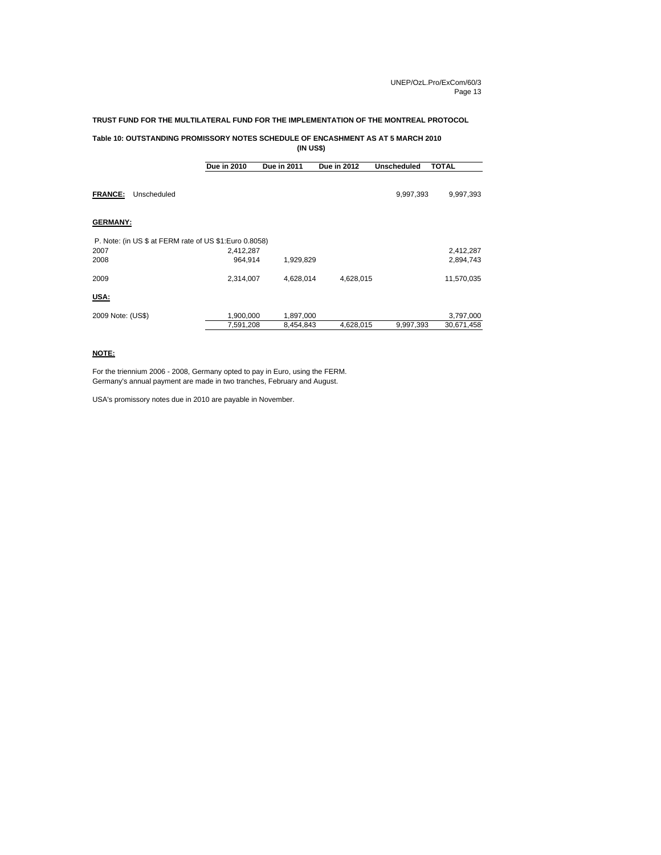#### **TRUST FUND FOR THE MULTILATERAL FUND FOR THE IMPLEMENTATION OF THE MONTREAL PROTOCOL**

## **Table 10: OUTSTANDING PROMISSORY NOTES SCHEDULE OF ENCASHMENT AS AT 5 MARCH 2010**

**(IN US\$)**

|                   |                                                        | Due in 2010 | <b>Due in 2011</b> | <b>Due in 2012</b> | <b>Unscheduled</b> | <b>TOTAL</b> |
|-------------------|--------------------------------------------------------|-------------|--------------------|--------------------|--------------------|--------------|
| <b>FRANCE:</b>    | Unscheduled                                            |             |                    |                    | 9,997,393          | 9,997,393    |
| <b>GERMANY:</b>   |                                                        |             |                    |                    |                    |              |
|                   | P. Note: (in US \$ at FERM rate of US \$1:Euro 0.8058) |             |                    |                    |                    |              |
| 2007              |                                                        | 2,412,287   |                    |                    |                    | 2,412,287    |
| 2008              |                                                        | 964,914     | 1,929,829          |                    |                    | 2,894,743    |
| 2009              |                                                        | 2,314,007   | 4,628,014          | 4,628,015          |                    | 11,570,035   |
| USA:              |                                                        |             |                    |                    |                    |              |
| 2009 Note: (US\$) |                                                        | 1,900,000   | 1,897,000          |                    |                    | 3,797,000    |
|                   |                                                        | 7,591,208   | 8,454,843          | 4,628,015          | 9,997,393          | 30,671,458   |

#### **NOTE:**

For the triennium 2006 - 2008, Germany opted to pay in Euro, using the FERM. Germany's annual payment are made in two tranches, February and August.

USA's promissory notes due in 2010 are payable in November.